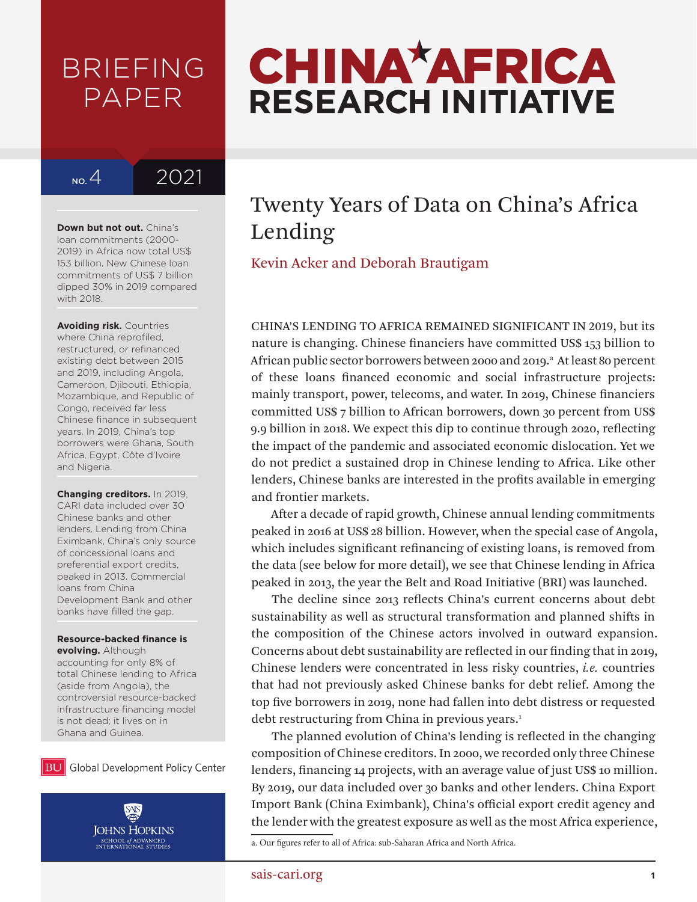# BRIEFING PAPER

# No.4<sub>2021</sub>

**Down but not out.** China's loan commitments (2000- 2019) in Africa now total US\$ 153 billion. New Chinese loan commitments of US\$ 7 billion dipped 30% in 2019 compared with 2018.

**Avoiding risk.** Countries where China reprofiled, restructured, or refinanced existing debt between 2015 and 2019, including Angola, Cameroon, Djibouti, Ethiopia, Mozambique, and Republic of Congo, received far less Chinese finance in subsequent years. In 2019, China's top borrowers were Ghana, South Africa, Egypt, Côte d'Ivoire and Nigeria.

**Changing creditors.** In 2019, CARI data included over 30 Chinese banks and other lenders. Lending from China Eximbank, China's only source of concessional loans and preferential export credits, peaked in 2013. Commercial loans from China Development Bank and other banks have filled the gap.

# **Resource-backed finance is**

**evolving.** Although accounting for only 8% of total Chinese lending to Africa (aside from Angola), the controversial resource-backed infrastructure financing model is not dead; it lives on in Ghana and Guinea.





# **CHINA\*AFRICA RESEARCH INITIATIVE**

# Twenty Years of Data on China's Africa Lending

Kevin Acker and Deborah Brautigam

CHINA'S LENDING TO AFRICA REMAINED SIGNIFICANT IN 2019, but its nature is changing. Chinese financiers have committed US\$ 153 billion to African public sector borrowers between 2000 and 2019.<sup>a</sup> At least 80 percent of these loans financed economic and social infrastructure projects: mainly transport, power, telecoms, and water. In 2019, Chinese financiers committed US\$ 7 billion to African borrowers, down 30 percent from US\$ 9.9 billion in 2018. We expect this dip to continue through 2020, reflecting the impact of the pandemic and associated economic dislocation. Yet we do not predict a sustained drop in Chinese lending to Africa. Like other lenders, Chinese banks are interested in the profits available in emerging and frontier markets.

After a decade of rapid growth, Chinese annual lending commitments peaked in 2016 at US\$ 28 billion. However, when the special case of Angola, which includes significant refinancing of existing loans, is removed from the data (see below for more detail), we see that Chinese lending in Africa peaked in 2013, the year the Belt and Road Initiative (BRI) was launched.

The decline since 2013 reflects China's current concerns about debt sustainability as well as structural transformation and planned shifts in the composition of the Chinese actors involved in outward expansion. Concerns about debt sustainability are reflected in our finding that in 2019, Chinese lenders were concentrated in less risky countries, *i.e.* countries that had not previously asked Chinese banks for debt relief. Among the top five borrowers in 2019, none had fallen into debt distress or requested debt restructuring from China in previous years.<sup>1</sup>

The planned evolution of China's lending is reflected in the changing composition of Chinese creditors. In 2000, we recorded only three Chinese lenders, financing 14 projects, with an average value of just US\$ 10 million. By 2019, our data included over 30 banks and other lenders. China Export Import Bank (China Eximbank), China's official export credit agency and the lender with the greatest exposure as well as the most Africa experience,

# sais-cari.org **1**

a. Our figures refer to all of Africa: sub-Saharan Africa and North Africa.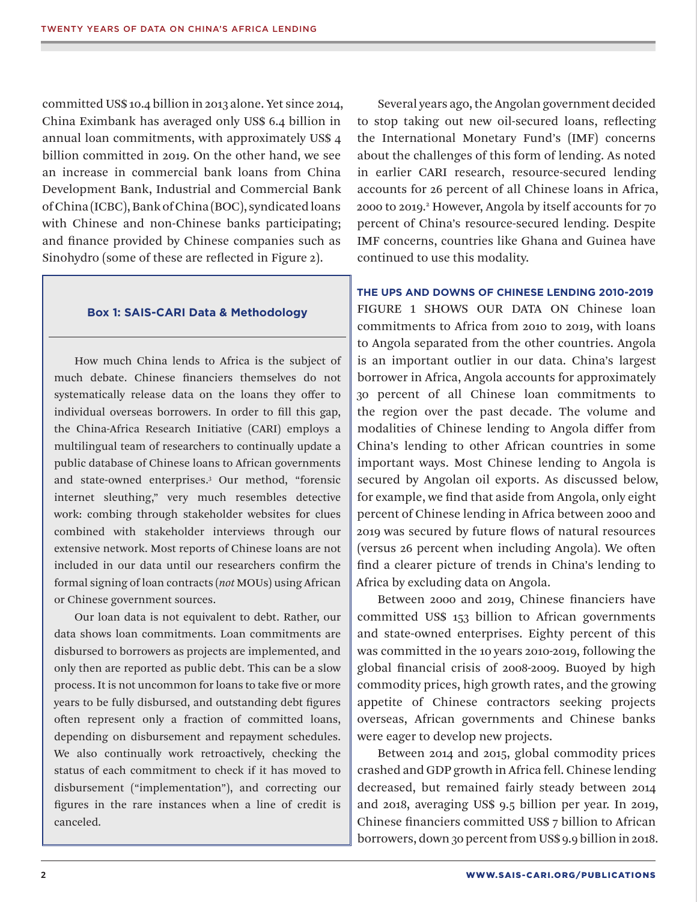committed US\$ 10.4 billion in 2013 alone. Yet since 2014, China Eximbank has averaged only US\$ 6.4 billion in annual loan commitments, with approximately US\$ 4 billion committed in 2019. On the other hand, we see an increase in commercial bank loans from China Development Bank, Industrial and Commercial Bank of China (ICBC), Bank of China (BOC), syndicated loans with Chinese and non-Chinese banks participating; and finance provided by Chinese companies such as Sinohydro (some of these are reflected in Figure 2).

#### **Box 1: SAIS-CARI Data & Methodology**

How much China lends to Africa is the subject of much debate. Chinese financiers themselves do not systematically release data on the loans they offer to individual overseas borrowers. In order to fill this gap, the China-Africa Research Initiative (CARI) employs a multilingual team of researchers to continually update a public database of Chinese loans to African governments and state-owned enterprises.3 Our method, "forensic internet sleuthing," very much resembles detective work: combing through stakeholder websites for clues combined with stakeholder interviews through our extensive network. Most reports of Chinese loans are not included in our data until our researchers confirm the formal signing of loan contracts (*not* MOUs) using African or Chinese government sources.

Our loan data is not equivalent to debt. Rather, our data shows loan commitments. Loan commitments are disbursed to borrowers as projects are implemented, and only then are reported as public debt. This can be a slow process. It is not uncommon for loans to take five or more years to be fully disbursed, and outstanding debt figures often represent only a fraction of committed loans, depending on disbursement and repayment schedules. We also continually work retroactively, checking the status of each commitment to check if it has moved to disbursement ("implementation"), and correcting our figures in the rare instances when a line of credit is canceled.

Several years ago, the Angolan government decided to stop taking out new oil-secured loans, reflecting the International Monetary Fund's (IMF) concerns about the challenges of this form of lending. As noted in earlier CARI research, resource-secured lending accounts for 26 percent of all Chinese loans in Africa, 2000 to 2019.2 However, Angola by itself accounts for 70 percent of China's resource-secured lending. Despite IMF concerns, countries like Ghana and Guinea have continued to use this modality.

**THE UPS AND DOWNS OF CHINESE LENDING 2010-2019**  FIGURE 1 SHOWS OUR DATA ON Chinese loan commitments to Africa from 2010 to 2019, with loans to Angola separated from the other countries. Angola is an important outlier in our data. China's largest borrower in Africa, Angola accounts for approximately 30 percent of all Chinese loan commitments to the region over the past decade. The volume and modalities of Chinese lending to Angola differ from China's lending to other African countries in some important ways. Most Chinese lending to Angola is secured by Angolan oil exports. As discussed below, for example, we find that aside from Angola, only eight percent of Chinese lending in Africa between 2000 and 2019 was secured by future flows of natural resources (versus 26 percent when including Angola). We often find a clearer picture of trends in China's lending to Africa by excluding data on Angola.

Between 2000 and 2019, Chinese financiers have committed US\$ 153 billion to African governments and state-owned enterprises. Eighty percent of this was committed in the 10 years 2010-2019, following the global financial crisis of 2008-2009. Buoyed by high commodity prices, high growth rates, and the growing appetite of Chinese contractors seeking projects overseas, African governments and Chinese banks were eager to develop new projects.

Between 2014 and 2015, global commodity prices crashed and GDP growth in Africa fell. Chinese lending decreased, but remained fairly steady between 2014 and 2018, averaging US\$ 9.5 billion per year. In 2019, Chinese financiers committed US\$ 7 billion to African borrowers, down 30 percent from US\$ 9.9 billion in 2018.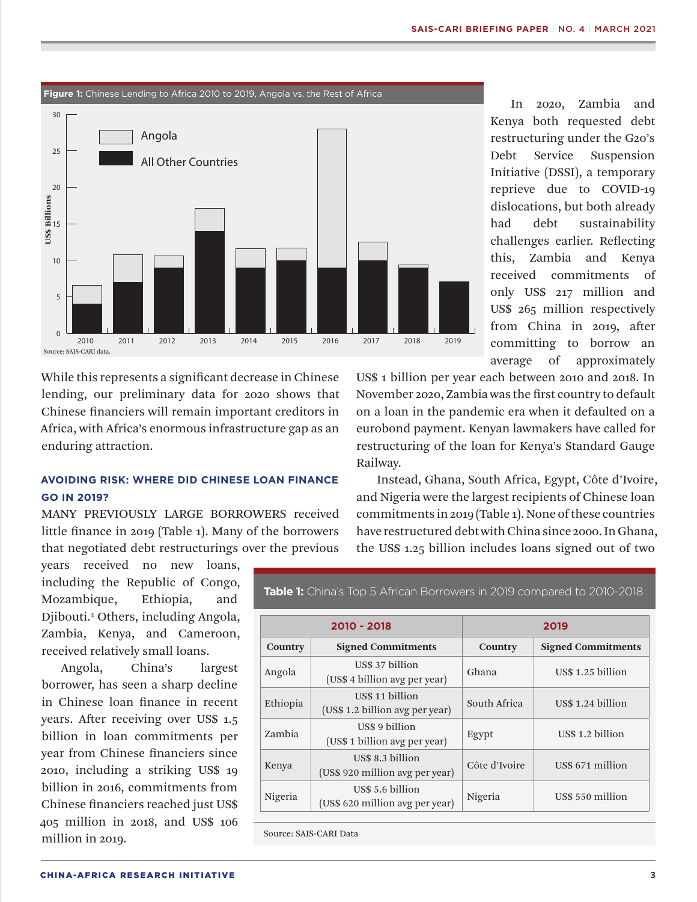In 2020, Zambia and



While this represents a significant decrease in Chinese lending, our preliminary data for 2020 shows that Chinese financiers will remain important creditors in Africa, with Africa's enormous infrastructure gap as an enduring attraction.

## **AVOIDING RISK: WHERE DID CHINESE LOAN FINANCE GO IN 2019?**

MANY PREVIOUSLY LARGE BORROWERS received little finance in 2019 (Table 1). Many of the borrowers that negotiated debt restructurings over the previous

years received no new loans, including the Republic of Congo, Mozambique, Ethiopia, and Djibouti.4 Others, including Angola, Zambia, Kenya, and Cameroon, received relatively small loans.

Angola, China's largest borrower, has seen a sharp decline in Chinese loan finance in recent years. After receiving over US\$ 1.5 billion in loan commitments per year from Chinese financiers since 2010, including a striking US\$ 19 billion in 2016, commitments from Chinese financiers reached just US\$ 405 million in 2018, and US\$ 106 million in 2019.

US\$ 1 billion per year each between 2010 and 2018. In November 2020, Zambia was the first country to default on a loan in the pandemic era when it defaulted on a eurobond payment. Kenyan lawmakers have called for restructuring of the loan for Kenya's Standard Gauge Railway.

Instead, Ghana, South Africa, Egypt, Côte d'Ivoire, and Nigeria were the largest recipients of Chinese loan commitments in 2019 (Table 1). None of these countries have restructured debt with China since 2000. In Ghana, the US\$ 1.25 billion includes loans signed out of two

**2010 - 2018 2019 Country Signed Commitments Country Signed Commitments** Angola US\$ 37 billion  $(US\$ 4 billion avg per year)$  Ghana US\$ 1.25 billion Ethiopia US\$ 11 billion  $(US$ 1.2 billion avg per year)$  South Africa US\$ 1.24 billion Zambia US\$ 9 billion (US\$ 1 billion avg per year) Egypt US\$ 1.2 billion Kenya US\$ 8.3 billion US\$ 6.5 million<br>(US\$ 920 million avg per year) Côte d'Ivoire US\$ 671 million Nigeria US\$ 5.6 billion (US\$ 620 million avg per year) Nigeria US\$ 550 million

**Table 1:** China's Top 5 African Borrowers in 2019 compared to 2010-2018

Source: SAIS-CARI Data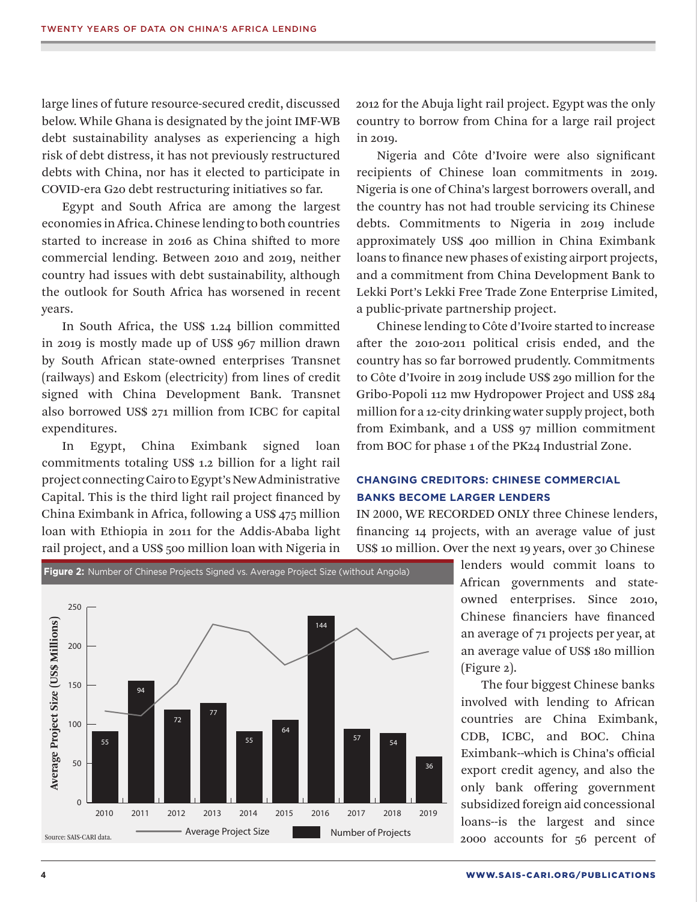large lines of future resource-secured credit, discussed below. While Ghana is designated by the joint IMF-WB debt sustainability analyses as experiencing a high risk of debt distress, it has not previously restructured debts with China, nor has it elected to participate in COVID-era G20 debt restructuring initiatives so far.

Egypt and South Africa are among the largest economies in Africa. Chinese lending to both countries started to increase in 2016 as China shifted to more commercial lending. Between 2010 and 2019, neither country had issues with debt sustainability, although the outlook for South Africa has worsened in recent years.

In South Africa, the US\$ 1.24 billion committed in 2019 is mostly made up of US\$ 967 million drawn by South African state-owned enterprises Transnet (railways) and Eskom (electricity) from lines of credit signed with China Development Bank. Transnet also borrowed US\$ 271 million from ICBC for capital expenditures.

In Egypt, China Eximbank signed loan commitments totaling US\$ 1.2 billion for a light rail project connecting Cairo to Egypt's New Administrative Capital. This is the third light rail project financed by China Eximbank in Africa, following a US\$ 475 million loan with Ethiopia in 2011 for the Addis-Ababa light rail project, and a US\$ 500 million loan with Nigeria in

**Figure 2:** Number of Chinese Projects Signed vs. Average Project Size (without Angola)

2012 for the Abuja light rail project. Egypt was the only country to borrow from China for a large rail project in 2019.

Nigeria and Côte d'Ivoire were also significant recipients of Chinese loan commitments in 2019. Nigeria is one of China's largest borrowers overall, and the country has not had trouble servicing its Chinese debts. Commitments to Nigeria in 2019 include approximately US\$ 400 million in China Eximbank loans to finance new phases of existing airport projects, and a commitment from China Development Bank to Lekki Port's Lekki Free Trade Zone Enterprise Limited, a public-private partnership project.

Chinese lending to Côte d'Ivoire started to increase after the 2010-2011 political crisis ended, and the country has so far borrowed prudently. Commitments to Côte d'Ivoire in 2019 include US\$ 290 million for the Gribo-Popoli 112 mw Hydropower Project and US\$ 284 million for a 12-city drinking water supply project, both from Eximbank, and a US\$ 97 million commitment from BOC for phase 1 of the PK24 Industrial Zone.

### **CHANGING CREDITORS: CHINESE COMMERCIAL BANKS BECOME LARGER LENDERS**

IN 2000, WE RECORDED ONLY three Chinese lenders, financing 14 projects, with an average value of just US\$ 10 million. Over the next 19 years, over 30 Chinese

> lenders would commit loans to African governments and stateowned enterprises. Since 2010, Chinese financiers have financed an average of 71 projects per year, at an average value of US\$ 180 million (Figure 2).

> The four biggest Chinese banks involved with lending to African countries are China Eximbank, CDB, ICBC, and BOC. China Eximbank--which is China's official export credit agency, and also the only bank offering government subsidized foreign aid concessional loans--is the largest and since 2000 accounts for 56 percent of

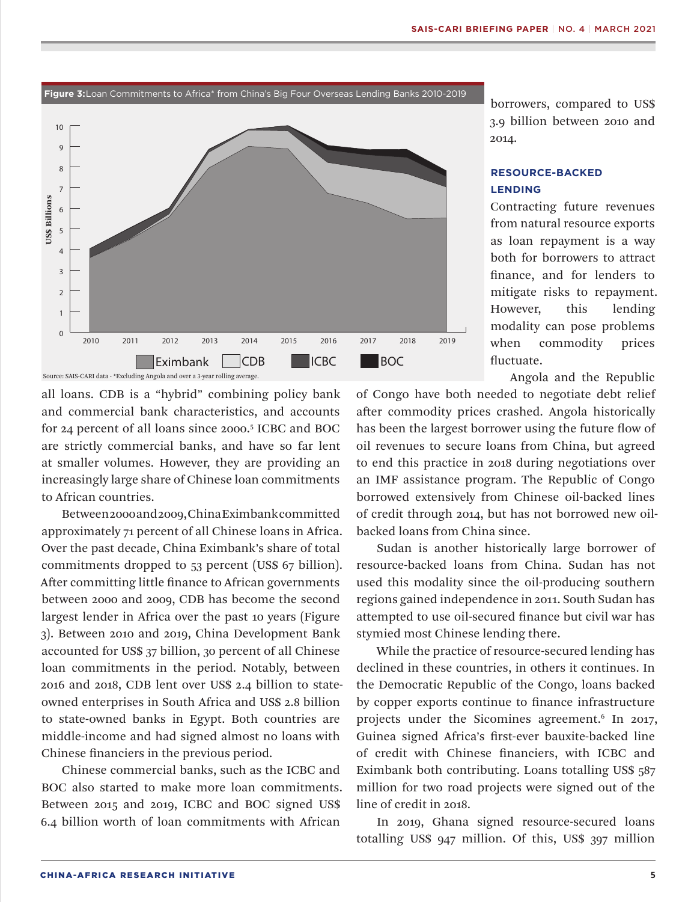

**Figure 3:**Loan Commitments to Africa\* from China's Big Four Overseas Lending Banks 2010-2019

all loans. CDB is a "hybrid" combining policy bank and commercial bank characteristics, and accounts for 24 percent of all loans since 2000.5 ICBC and BOC are strictly commercial banks, and have so far lent at smaller volumes. However, they are providing an increasingly large share of Chinese loan commitments to African countries.

Between 2000 and 2009, China Eximbank committed approximately 71 percent of all Chinese loans in Africa. Over the past decade, China Eximbank's share of total commitments dropped to 53 percent (US\$ 67 billion). After committing little finance to African governments between 2000 and 2009, CDB has become the second largest lender in Africa over the past 10 years (Figure 3). Between 2010 and 2019, China Development Bank accounted for US\$ 37 billion, 30 percent of all Chinese loan commitments in the period. Notably, between 2016 and 2018, CDB lent over US\$ 2.4 billion to stateowned enterprises in South Africa and US\$ 2.8 billion to state-owned banks in Egypt. Both countries are middle-income and had signed almost no loans with Chinese financiers in the previous period.

Chinese commercial banks, such as the ICBC and BOC also started to make more loan commitments. Between 2015 and 2019, ICBC and BOC signed US\$ 6.4 billion worth of loan commitments with African

borrowers, compared to US\$ 3.9 billion between 2010 and 2014.

## **RESOURCE-BACKED LENDING**

Contracting future revenues from natural resource exports as loan repayment is a way both for borrowers to attract finance, and for lenders to mitigate risks to repayment. However, this lending modality can pose problems when commodity prices fluctuate.

Angola and the Republic

of Congo have both needed to negotiate debt relief after commodity prices crashed. Angola historically has been the largest borrower using the future flow of oil revenues to secure loans from China, but agreed to end this practice in 2018 during negotiations over an IMF assistance program. The Republic of Congo borrowed extensively from Chinese oil-backed lines of credit through 2014, but has not borrowed new oilbacked loans from China since.

Sudan is another historically large borrower of resource-backed loans from China. Sudan has not used this modality since the oil-producing southern regions gained independence in 2011. South Sudan has attempted to use oil-secured finance but civil war has stymied most Chinese lending there.

While the practice of resource-secured lending has declined in these countries, in others it continues. In the Democratic Republic of the Congo, loans backed by copper exports continue to finance infrastructure projects under the Sicomines agreement.<sup>6</sup> In 2017, Guinea signed Africa's first-ever bauxite-backed line of credit with Chinese financiers, with ICBC and Eximbank both contributing. Loans totalling US\$ 587 million for two road projects were signed out of the line of credit in 2018.

In 2019, Ghana signed resource-secured loans totalling US\$ 947 million. Of this, US\$ 397 million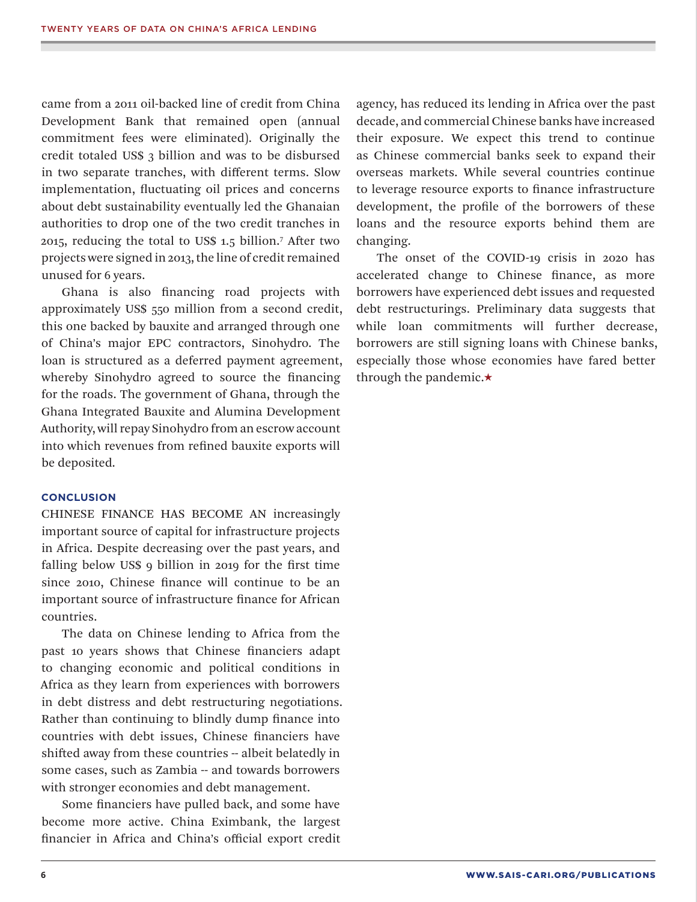came from a 2011 oil-backed line of credit from China Development Bank that remained open (annual commitment fees were eliminated). Originally the credit totaled US\$ 3 billion and was to be disbursed in two separate tranches, with different terms. Slow implementation, fluctuating oil prices and concerns about debt sustainability eventually led the Ghanaian authorities to drop one of the two credit tranches in 2015, reducing the total to US\$ 1.5 billion.7 After two projects were signed in 2013, the line of credit remained unused for 6 years.

Ghana is also financing road projects with approximately US\$ 550 million from a second credit, this one backed by bauxite and arranged through one of China's major EPC contractors, Sinohydro. The loan is structured as a deferred payment agreement, whereby Sinohydro agreed to source the financing for the roads. The government of Ghana, through the Ghana Integrated Bauxite and Alumina Development Authority, will repay Sinohydro from an escrow account into which revenues from refined bauxite exports will be deposited.

#### **CONCLUSION**

CHINESE FINANCE HAS BECOME AN increasingly important source of capital for infrastructure projects in Africa. Despite decreasing over the past years, and falling below US\$ 9 billion in 2019 for the first time since 2010, Chinese finance will continue to be an important source of infrastructure finance for African countries.

The data on Chinese lending to Africa from the past 10 years shows that Chinese financiers adapt to changing economic and political conditions in Africa as they learn from experiences with borrowers in debt distress and debt restructuring negotiations. Rather than continuing to blindly dump finance into countries with debt issues, Chinese financiers have shifted away from these countries -- albeit belatedly in some cases, such as Zambia -- and towards borrowers with stronger economies and debt management.

Some financiers have pulled back, and some have become more active. China Eximbank, the largest financier in Africa and China's official export credit agency, has reduced its lending in Africa over the past decade, and commercial Chinese banks have increased their exposure. We expect this trend to continue as Chinese commercial banks seek to expand their overseas markets. While several countries continue to leverage resource exports to finance infrastructure development, the profile of the borrowers of these loans and the resource exports behind them are changing.

The onset of the COVID-19 crisis in 2020 has accelerated change to Chinese finance, as more borrowers have experienced debt issues and requested debt restructurings. Preliminary data suggests that while loan commitments will further decrease, borrowers are still signing loans with Chinese banks, especially those whose economies have fared better through the pandemic.★